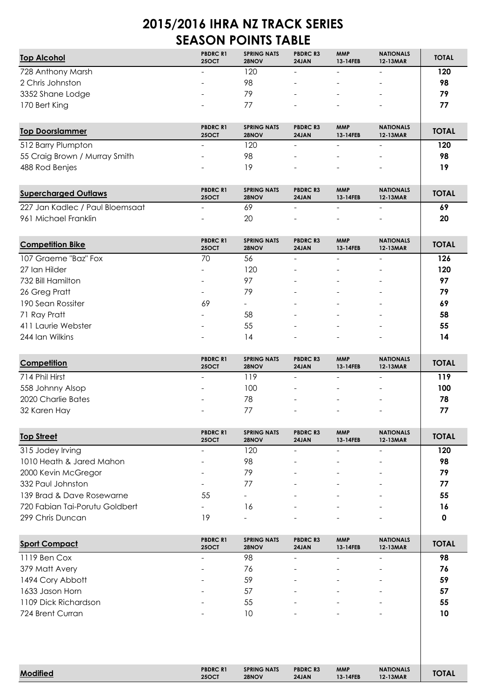## **2015/2016 IHRA NZ TRACK SERIES SEASON POINTS TABLE**

| <b>Top Alcohol</b> | <b>PBDRC R1</b><br><b>25OCT</b> | <b>SPRING NATS</b><br>28NOV | <b>PBDRC R3</b><br>24JAN | <b>MMP</b><br>13-14FEB   | <b>NATIONALS</b><br>12-13MAR | <b>TOTAL</b> |
|--------------------|---------------------------------|-----------------------------|--------------------------|--------------------------|------------------------------|--------------|
| 728 Anthony Marsh  | $\overline{\phantom{a}}$        | 120                         | -                        | $\overline{\phantom{a}}$ | $\qquad \qquad -$            | 120          |
| 2 Chris Johnston   | $\overline{\phantom{0}}$        | 98                          | -                        | $\overline{\phantom{0}}$ | $\overline{\phantom{0}}$     | 98           |
| 3352 Shane Lodge   | $\overline{\phantom{a}}$        | 79                          |                          | $\overline{\phantom{a}}$ | $\overline{\phantom{a}}$     | 79           |
| 170 Bert King      | $\overline{\phantom{a}}$        | 77                          | -                        | $\overline{\phantom{a}}$ | -                            | 77           |
|                    |                                 |                             |                          |                          |                              |              |

| <b>Top Doorslammer</b>        | <b>PBDRC R1</b><br><b>25OCT</b> | <b>SPRING NATS</b><br>28NOV | <b>PBDRC R3</b><br>24JAN | <b>MMP</b><br>13-14FEB   | <b>NATIONALS</b><br>12-13MAR | <b>TOTAL</b> |
|-------------------------------|---------------------------------|-----------------------------|--------------------------|--------------------------|------------------------------|--------------|
| 512 Barry Plumpton            | $\overline{\phantom{a}}$        | 120                         | -                        | $\overline{\phantom{a}}$ | $\qquad \qquad -$            | 120          |
| 55 Craig Brown / Murray Smith | $\overline{\phantom{a}}$        | 98                          | -                        | $\overline{\phantom{0}}$ | $\qquad \qquad -$            | 98           |
| 488 Rod Benjes                | $\overline{a}$                  | 19                          | -                        | $\overline{\phantom{0}}$ | $\overline{\phantom{a}}$     | 19           |
|                               |                                 |                             |                          |                          |                              |              |

| <b>Supercharged Outlaws</b>     | <b>PBDRC R1</b><br><b>25OCT</b> | <b>SPRING NATS</b><br>28NOV | <b>PBDRC R3</b><br><b>24JAN</b> | <b>MMP</b><br>13-14FEB | <b>NATIONALS</b><br><b>12-13MAR</b> | <b>TOTAL</b> |
|---------------------------------|---------------------------------|-----------------------------|---------------------------------|------------------------|-------------------------------------|--------------|
| 227 Jan Kadlec / Paul Bloemsaat | $\overline{\phantom{0}}$        | 69                          |                                 | -                      | -                                   | -69          |
| 961 Michael Franklin            | $\overline{\phantom{0}}$        | 20                          |                                 | -                      | $\overline{\phantom{0}}$            | 20           |

| <b>Competition Bike</b> | <b>PBDRC R1</b><br><b>250CT</b> | <b>SPRING NATS</b><br>28NOV | <b>PBDRC R3</b><br>24JAN | <b>MMP</b><br>13-14FEB | <b>NATIONALS</b><br>12-13MAR | <b>TOTAL</b> |
|-------------------------|---------------------------------|-----------------------------|--------------------------|------------------------|------------------------------|--------------|
| 107 Graeme "Baz" Fox    | 70                              | 56                          |                          |                        |                              | 126          |
| 27 Ian Hilder           | $\overline{\phantom{a}}$        | 120                         |                          |                        |                              | 120          |
| 732 Bill Hamilton       | $\overline{\phantom{a}}$        | 97                          |                          |                        |                              | 97           |
| 26 Greg Pratt           | $\overline{\phantom{a}}$        | 79                          |                          |                        |                              | 79           |
| 190 Sean Rossiter       | 69                              |                             |                          |                        |                              | 69           |
| 71 Ray Pratt            | $\overline{\phantom{a}}$        | 58                          |                          |                        |                              | 58           |
| 411 Laurie Webster      | -                               | 55                          |                          |                        |                              | 55           |
| 244 Ian Wilkins         |                                 | 14                          |                          |                        |                              | 14           |

| Competition        | <b>PBDRC R1</b><br><b>25OCT</b> | <b>SPRING NATS</b><br>28NOV | <b>PBDRCR3</b><br>24JAN  | <b>MMP</b><br>13-14FEB   | <b>NATIONALS</b><br>12-13MAR | <b>TOTAL</b> |
|--------------------|---------------------------------|-----------------------------|--------------------------|--------------------------|------------------------------|--------------|
| 714 Phil Hirst     | $\overline{\phantom{a}}$        | 119                         |                          |                          |                              | 119          |
| 558 Johnny Alsop   | $\overline{\phantom{a}}$        | 100                         |                          | -                        | $\overline{\phantom{a}}$     | 100          |
| 2020 Charlie Bates | $\overline{\phantom{a}}$        | 78                          | -                        | $\overline{\phantom{a}}$ | $\overline{\phantom{a}}$     | 78           |
| 32 Karen Hay       | $\overline{\phantom{a}}$        | 77                          | $\overline{\phantom{0}}$ | $\overline{\phantom{0}}$ | $\overline{\phantom{0}}$     | 77           |

| <b>Top Street</b>              | <b>PBDRC R1</b><br><b>25OCT</b> | <b>SPRING NATS</b><br>28NOV | <b>PBDRCR3</b><br>24JAN | <b>MMP</b><br>13-14FEB | <b>NATIONALS</b><br>12-13MAR | <b>TOTAL</b> |
|--------------------------------|---------------------------------|-----------------------------|-------------------------|------------------------|------------------------------|--------------|
| 315 Jodey Irving               | ۰                               | 120                         |                         |                        |                              | 120          |
| 1010 Heath & Jared Mahon       |                                 | 98                          |                         |                        |                              | 98           |
| 2000 Kevin McGregor            |                                 | 79                          |                         |                        |                              | 79           |
| 332 Paul Johnston              | ۰                               | 77                          |                         |                        |                              | 77           |
| 139 Brad & Dave Rosewarne      | 55                              | $\overline{\phantom{a}}$    |                         |                        |                              | 55           |
| 720 Fabian Tai-Porutu Goldbert | ۰                               | 16                          |                         |                        |                              | 16           |
| 299 Chris Duncan               | 19                              |                             |                         |                        |                              |              |

| <b>Sport Compact</b> | <b>PBDRC R1</b><br><b>25OCT</b> | <b>SPRING NATS</b><br>28NOV | <b>PBDRC R3</b><br>24JAN | <b>MMP</b><br>13-14FEB   | <b>NATIONALS</b><br>12-13MAR | <b>TOTAL</b> |
|----------------------|---------------------------------|-----------------------------|--------------------------|--------------------------|------------------------------|--------------|
| 1119 Ben Cox         |                                 | 98                          |                          |                          |                              | 98           |
| 379 Matt Avery       | $\overline{\phantom{a}}$        | 76                          |                          | $\overline{\phantom{a}}$ | $\overline{\phantom{0}}$     | 76           |
| 1494 Cory Abbott     | $\overline{\phantom{a}}$        | 59                          |                          | $\overline{\phantom{0}}$ | $\overline{\phantom{a}}$     | 59           |
| 1633 Jason Horn      | $\overline{\phantom{a}}$        | 57                          | $\overline{\phantom{a}}$ | -                        | $\overline{\phantom{a}}$     | 57           |
| 1109 Dick Richardson | $\overline{\phantom{a}}$        | 55                          |                          | -                        | $\overline{\phantom{a}}$     | 55           |
| 724 Brent Curran     |                                 | 10                          |                          | $\overline{\phantom{a}}$ | $\overline{\phantom{0}}$     | 10           |

| 1000           | <b>PBDRC R1</b> | <b>SPRING NATS</b> | <b>PBDRC R3</b> | <b>MMP</b>    | <b>NATIONALS</b> | <b>TOTAL</b> |
|----------------|-----------------|--------------------|-----------------|---------------|------------------|--------------|
| <b>Modifie</b> | 25OCT           | 28NOV              | 24JAN           | $.3 - 14$ FEB | 12-13MAR         |              |
|                |                 |                    |                 |               |                  |              |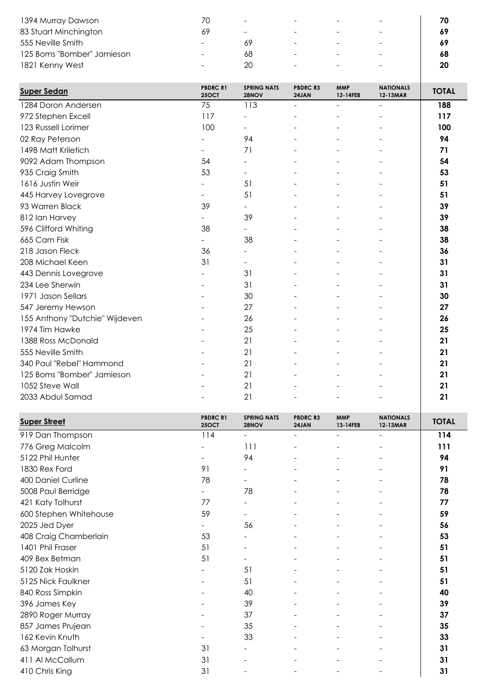| 1394 Murray Dawson         |                          | $\overline{\phantom{a}}$ | $\overline{\phantom{0}}$ | $\overline{\phantom{a}}$ | $\overline{\phantom{0}}$ | 70 |
|----------------------------|--------------------------|--------------------------|--------------------------|--------------------------|--------------------------|----|
| 83 Stuart Minchington      |                          | $\overline{\phantom{a}}$ | $\overline{\phantom{0}}$ | $\overline{\phantom{0}}$ | $\overline{\phantom{0}}$ | 69 |
| 555 Neville Smith          | $\overline{\phantom{0}}$ |                          | $\overline{\phantom{0}}$ | $\overline{\phantom{0}}$ | $\overline{\phantom{0}}$ | 69 |
| 125 Boms "Bomber" Jamieson | $\overline{\phantom{0}}$ | 68                       | $\overline{\phantom{0}}$ | $\overline{\phantom{0}}$ | $\overline{\phantom{a}}$ | 68 |
| 1821 Kenny West            |                          | 20                       | $\overline{\phantom{0}}$ | $\overline{\phantom{0}}$ | $\overline{\phantom{0}}$ | 20 |

| <b>Super Sedan</b>             | <b>PBDRCR1</b><br><b>25OCT</b> | <b>SPRING NATS</b><br>28NOV | <b>PBDRC R3</b><br>24JAN | <b>MMP</b><br>13-14FEB   | <b>NATIONALS</b><br>12-13MAR | <b>TOTAL</b> |
|--------------------------------|--------------------------------|-----------------------------|--------------------------|--------------------------|------------------------------|--------------|
| 1284 Doron Andersen            | 75                             | 113                         | $\overline{\phantom{0}}$ | $\blacksquare$           | $\overline{\phantom{a}}$     | 188          |
| 972 Stephen Excell             | 117                            | $\overline{\phantom{a}}$    | $\overline{\phantom{a}}$ |                          | $\overline{a}$               | 117          |
| 123 Russell Lorimer            | 100                            | $\overline{\phantom{a}}$    | $\overline{\phantom{0}}$ |                          | $\overline{a}$               | 100          |
| 02 Ray Peterson                |                                | 94                          |                          |                          |                              | 94           |
| 1498 Matt Kriletich            | $\blacksquare$                 | 71                          | $\overline{\phantom{0}}$ |                          | $\overline{\phantom{0}}$     | 71           |
| 9092 Adam Thompson             | 54                             | $\overline{a}$              |                          |                          |                              | 54           |
| 935 Craig Smith                | 53                             | $\overline{\phantom{a}}$    | $\overline{\phantom{a}}$ | $\overline{\phantom{a}}$ | $\overline{\phantom{a}}$     | 53           |
| 1616 Justin Weir               |                                | 51                          |                          |                          |                              | 51           |
| 445 Harvey Lovegrove           |                                | 51                          |                          |                          |                              | 51           |
| 93 Warren Black                | 39                             | $\overline{\phantom{0}}$    | $\overline{\phantom{0}}$ |                          |                              | 39           |
| 812 Ian Harvey                 |                                | 39                          |                          |                          |                              | 39           |
| 596 Clifford Whiting           | 38                             | $\overline{\phantom{0}}$    |                          |                          |                              | 38           |
| 665 Cam Fisk                   |                                | 38                          |                          |                          |                              | 38           |
| 218 Jason Fleck                | 36                             | $\overline{\phantom{a}}$    | $\overline{\phantom{a}}$ | $\overline{a}$           | $\overline{\phantom{0}}$     | 36           |
| 208 Michael Keen               | 31                             | $\overline{\phantom{0}}$    |                          |                          |                              | 31           |
| 443 Dennis Lovegrove           |                                | 31                          |                          |                          |                              | 31           |
| 234 Lee Sherwin                |                                | 31                          | $\overline{\phantom{0}}$ |                          |                              | 31           |
| 1971 Jason Sellars             |                                | 30                          | $\overline{\phantom{a}}$ |                          |                              | 30           |
| 547 Jeremy Hewson              |                                | 27                          |                          |                          |                              | 27           |
| 155 Anthony "Dutchie" Wijdeven |                                | 26                          | $\overline{a}$           |                          |                              | 26           |
| 1974 Tim Hawke                 | $\overline{\phantom{a}}$       | 25                          | $\blacksquare$           | $\overline{\phantom{0}}$ | $\overline{\phantom{a}}$     | 25           |
| 1388 Ross McDonald             |                                | 21                          |                          |                          |                              | 21           |
| 555 Neville Smith              |                                | 21                          |                          |                          |                              | 21           |
| 340 Paul "Rebel" Hammond       |                                | 21                          |                          |                          |                              | 21           |
| 125 Boms "Bomber" Jamieson     |                                | 21                          | $\overline{\phantom{a}}$ |                          | $\overline{a}$               | 21           |
| 1052 Steve Wall                |                                | 21                          |                          |                          |                              | 21           |
| 2033 Abdul Samad               |                                | 21                          |                          |                          |                              | 21           |

| <b>Super Street</b>    | <b>PBDRCR1</b><br><b>25OCT</b> | <b>SPRING NATS</b><br>28NOV | <b>PBDRCR3</b><br>24JAN | <b>MMP</b><br>13-14FEB | <b>NATIONALS</b><br>12-13MAR | <b>TOTAL</b> |
|------------------------|--------------------------------|-----------------------------|-------------------------|------------------------|------------------------------|--------------|
| 919 Dan Thompson       | 114                            | $\overline{\phantom{0}}$    |                         |                        | $\overline{\phantom{a}}$     | 114          |
| 776 Greg Malcolm       |                                | 111                         |                         |                        |                              | 111          |
| 5122 Phil Hunter       |                                | 94                          |                         |                        |                              | 94           |
| 1830 Rex Ford          | 91                             |                             |                         |                        |                              | 91           |
| 400 Daniel Curline     | 78                             |                             |                         |                        |                              | 78           |
| 5008 Paul Berridge     | $\overline{\phantom{a}}$       | 78                          |                         |                        | $\overline{\phantom{a}}$     | 78           |
| 421 Katy Tolhurst      | 77                             | $\overline{\phantom{a}}$    |                         |                        |                              | 77           |
| 600 Stephen Whitehouse | 59                             |                             |                         |                        |                              | 59           |
| 2025 Jed Dyer          |                                | 56                          |                         |                        |                              | 56           |
| 408 Craig Chamberlain  | 53                             |                             |                         |                        |                              | 53           |
| 1401 Phil Fraser       | 51                             |                             |                         |                        |                              | 51           |
| 409 Bex Betman         | 51                             |                             |                         |                        |                              | 51           |
| 5120 Zak Hoskin        |                                | 51                          |                         |                        |                              | 51           |
| 5125 Nick Faulkner     |                                | 51                          |                         |                        |                              | 51           |
| 840 Ross Simpkin       |                                | 40                          |                         |                        |                              | 40           |
| 396 James Key          |                                | 39                          |                         |                        |                              | 39           |
| 2890 Roger Murray      |                                | 37                          |                         |                        |                              | 37           |
| 857 James Prujean      |                                | 35                          |                         |                        | $\overline{\phantom{a}}$     | 35           |
| 162 Kevin Knuth        |                                | 33                          |                         |                        |                              | 33           |
| 63 Morgan Tolhurst     | 31                             | $\overline{\phantom{a}}$    |                         |                        |                              | 31           |
| 411 Al McCallum        | 31                             |                             |                         |                        |                              | 31           |
| 410 Chris King         | 31                             |                             |                         |                        |                              | 31           |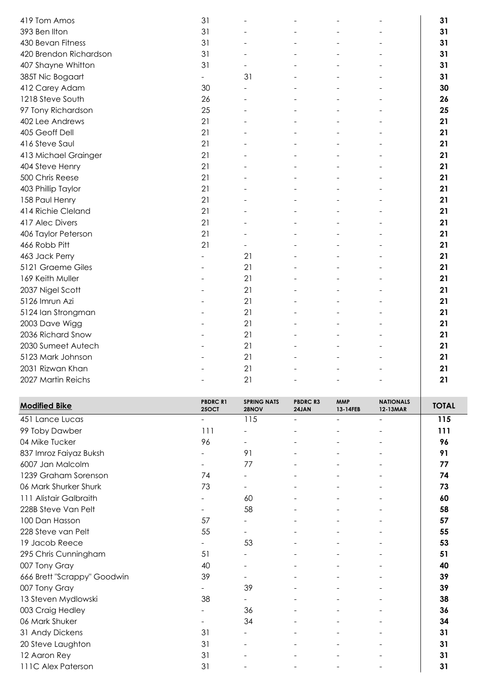| 419 Tom Amos           | 31                       |                          |  | 31 |  |
|------------------------|--------------------------|--------------------------|--|----|--|
| 393 Ben Ilton          | 31                       |                          |  | 31 |  |
| 430 Bevan Fitness      | 31                       |                          |  | 31 |  |
| 420 Brendon Richardson | 31                       |                          |  | 31 |  |
| 407 Shayne Whitton     | 31                       |                          |  | 31 |  |
| 385T Nic Bogaart       | $\overline{\phantom{0}}$ | 31                       |  | 31 |  |
| 412 Carey Adam         | 30                       |                          |  | 30 |  |
| 1218 Steve South       | 26                       |                          |  | 26 |  |
| 97 Tony Richardson     | 25                       |                          |  | 25 |  |
| 402 Lee Andrews        | 21                       |                          |  | 21 |  |
| 405 Geoff Dell         | 21                       |                          |  | 21 |  |
| 416 Steve Saul         | 21                       |                          |  | 21 |  |
| 413 Michael Grainger   | 21                       |                          |  | 21 |  |
| 404 Steve Henry        | 21                       |                          |  | 21 |  |
| 500 Chris Reese        | 21                       |                          |  | 21 |  |
| 403 Phillip Taylor     | 21                       |                          |  | 21 |  |
| 158 Paul Henry         | 21                       |                          |  | 21 |  |
| 414 Richie Cleland     | 21                       |                          |  | 21 |  |
| 417 Alec Divers        | 21                       |                          |  | 21 |  |
| 406 Taylor Peterson    | 21                       |                          |  | 21 |  |
| 466 Robb Pitt          | 21                       | $\overline{\phantom{0}}$ |  | 21 |  |
| 463 Jack Perry         |                          | 21                       |  | 21 |  |
| 5121 Graeme Giles      |                          | 21                       |  | 21 |  |
| 169 Keith Muller       |                          | 21                       |  | 21 |  |
| 2037 Nigel Scott       |                          | 21                       |  | 21 |  |
| 5126 Imrun Azi         |                          | 21                       |  | 21 |  |
| 5124 Ian Strongman     |                          | 21                       |  | 21 |  |
| 2003 Dave Wigg         |                          | 21                       |  | 21 |  |
| 2036 Richard Snow      |                          | 21                       |  | 21 |  |
| 2030 Sumeet Autech     |                          | 21                       |  | 21 |  |
| 5123 Mark Johnson      |                          | 21                       |  | 21 |  |
| 2031 Rizwan Khan       |                          | 21                       |  | 21 |  |
| 2027 Martin Reichs     |                          | 21                       |  | 21 |  |

| <b>Modified Bike</b>        | <b>PBDRCR1</b><br><b>25OCT</b> | <b>SPRING NATS</b><br>28NOV | <b>PBDRCR3</b><br>24JAN | <b>MMP</b><br>13-14FEB | <b>NATIONALS</b><br>12-13MAR | <b>TOTAL</b> |
|-----------------------------|--------------------------------|-----------------------------|-------------------------|------------------------|------------------------------|--------------|
| 451 Lance Lucas             |                                | 115                         |                         |                        | $\overline{\phantom{0}}$     | 115          |
| 99 Toby Dawber              | 111                            |                             |                         |                        |                              | 111          |
| 04 Mike Tucker              | 96                             |                             |                         |                        |                              | 96           |
| 837 Imroz Faiyaz Buksh      |                                | 91                          |                         |                        |                              | 91           |
| 6007 Jan Malcolm            |                                | 77                          |                         |                        |                              | 77           |
| 1239 Graham Sorenson        | 74                             | $\overline{\phantom{a}}$    |                         |                        |                              | 74           |
| 06 Mark Shurker Shurk       | 73                             | $\overline{\phantom{a}}$    |                         |                        |                              | 73           |
| 111 Alistair Galbraith      |                                | 60                          |                         |                        |                              | 60           |
| 228B Steve Van Pelt         | $\overline{\phantom{a}}$       | 58                          |                         |                        |                              | 58           |
| 100 Dan Hasson              | 57                             |                             |                         |                        |                              | 57           |
| 228 Steve van Pelt          | 55                             |                             |                         |                        |                              | 55           |
| 19 Jacob Reece              |                                | 53                          |                         |                        |                              | 53           |
| 295 Chris Cunningham        | 51                             |                             |                         |                        |                              | 51           |
| 007 Tony Gray               | 40                             |                             |                         |                        |                              | 40           |
| 666 Brett "Scrappy" Goodwin | 39                             |                             |                         |                        |                              | 39           |
| 007 Tony Gray               |                                | 39                          |                         |                        |                              | 39           |
| 13 Steven Mydlowski         | 38                             |                             |                         |                        |                              | 38           |
| 003 Craig Hedley            |                                | 36                          |                         |                        |                              | 36           |
| 06 Mark Shuker              |                                | 34                          |                         |                        |                              | 34           |
| 31 Andy Dickens             | 31                             | $\overline{\phantom{a}}$    |                         |                        | $\overline{\phantom{0}}$     | 31           |
| 20 Steve Laughton           | 31                             |                             |                         |                        |                              | 31           |
| 12 Aaron Rey                | 31                             |                             |                         |                        |                              | 31           |
| 111C Alex Paterson          | 31                             |                             |                         |                        |                              | 31           |